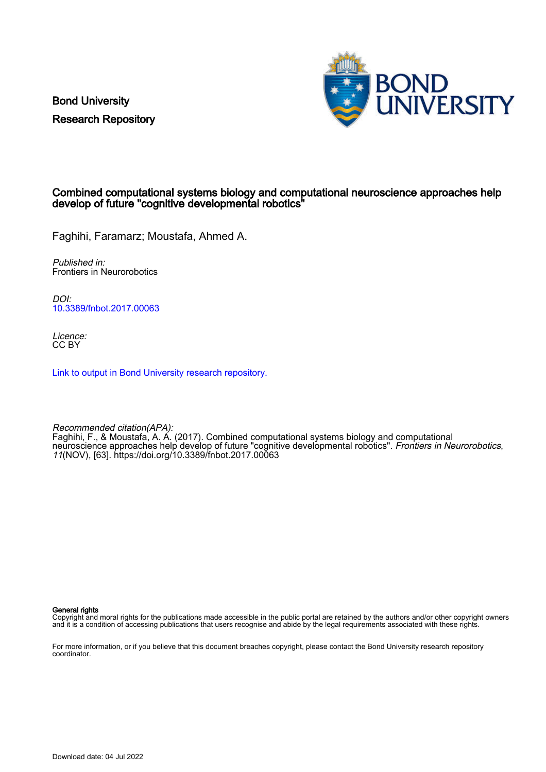Bond University Research Repository



### Combined computational systems biology and computational neuroscience approaches help develop of future "cognitive developmental robotics"

Faghihi, Faramarz; Moustafa, Ahmed A.

Published in: Frontiers in Neurorobotics

DOI: [10.3389/fnbot.2017.00063](https://doi.org/10.3389/fnbot.2017.00063)

Licence: CC BY

[Link to output in Bond University research repository.](https://research.bond.edu.au/en/publications/7a8c70ec-6a8c-484c-bcda-5da1fc0aa04b)

Recommended citation(APA): Faghihi, F., & Moustafa, A. A. (2017). Combined computational systems biology and computational neuroscience approaches help develop of future "cognitive developmental robotics". *Frontiers in Neurorobotics*, 11(NOV), [63].<https://doi.org/10.3389/fnbot.2017.00063>

General rights

Copyright and moral rights for the publications made accessible in the public portal are retained by the authors and/or other copyright owners and it is a condition of accessing publications that users recognise and abide by the legal requirements associated with these rights.

For more information, or if you believe that this document breaches copyright, please contact the Bond University research repository coordinator.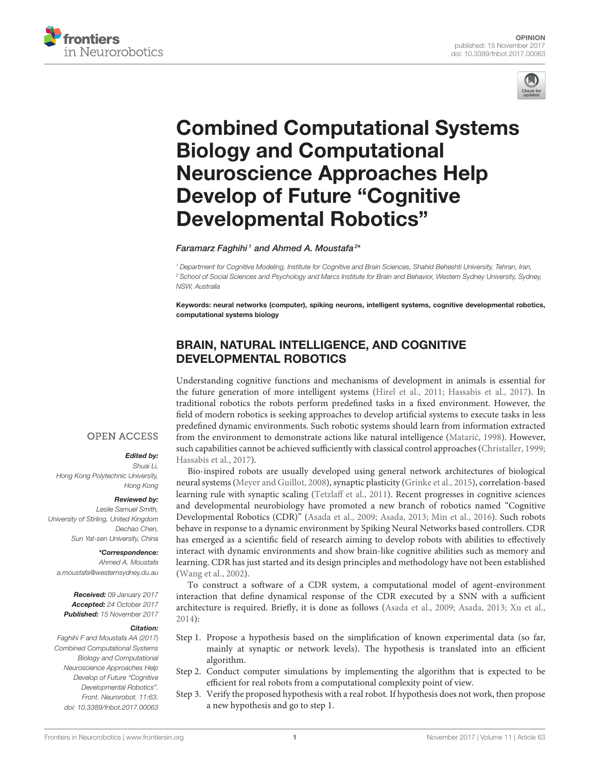



# [Combined Computational Systems](https://www.frontiersin.org/articles/10.3389/fnbot.2017.00063/full) Biology and Computational Neuroscience Approaches Help Develop of Future "Cognitive Developmental Robotics"

Faramarz Faghihi1 and [Ahmed A. Moustafa](http://loop.frontiersin.org/people/15417/overview)<sup>2\*</sup>

*<sup>1</sup> Department for Cognitive Modeling, Institute for Cognitive and Brain Sciences, Shahid Beheshti University, Tehran, Iran, <sup>2</sup> School of Social Sciences and Psychology and Marcs Institute for Brain and Behavior, Western Sydney University, Sydney, NSW, Australia*

Keywords: neural networks (computer), spiking neurons, intelligent systems, cognitive developmental robotics, computational systems biology

# BRAIN, NATURAL INTELLIGENCE, AND COGNITIVE DEVELOPMENTAL ROBOTICS

Understanding cognitive functions and mechanisms of development in animals is essential for the future generation of more intelligent systems [\(Hirel et al., 2011;](#page-4-0) [Hassabis et al., 2017\)](#page-4-1). In traditional robotics the robots perform predefined tasks in a fixed environment. However, the field of modern robotics is seeking approaches to develop artificial systems to execute tasks in less predefined dynamic environments. Such robotic systems should learn from information extracted from the environment to demonstrate actions like natural intelligence (Matarić, 1998). However, such capabilities cannot be achieved sufficiently with classical control approaches [\(Christaller, 1999;](#page-4-3) [Hassabis et al., 2017\)](#page-4-1).

Bio-inspired robots are usually developed using general network architectures of biological neural systems [\(Meyer and Guillot, 2008\)](#page-4-4), synaptic plasticity [\(Grinke et al., 2015\)](#page-4-5), correlation-based learning rule with synaptic scaling [\(Tetzlaff et al., 2011\)](#page-5-0). Recent progresses in cognitive sciences and developmental neurobiology have promoted a new branch of robotics named "Cognitive Developmental Robotics (CDR)" [\(Asada et al., 2009;](#page-4-6) [Asada, 2013;](#page-4-7) [Min et al., 2016\)](#page-4-8). Such robots behave in response to a dynamic environment by Spiking Neural Networks based controllers. CDR has emerged as a scientific field of research aiming to develop robots with abilities to effectively interact with dynamic environments and show brain-like cognitive abilities such as memory and learning. CDR has just started and its design principles and methodology have not been established [\(Wang et al., 2002\)](#page-5-1).

To construct a software of a CDR system, a computational model of agent-environment interaction that define dynamical response of the CDR executed by a SNN with a sufficient architecture is required. Briefly, it is done as follows [\(Asada et al., 2009;](#page-4-6) [Asada, 2013;](#page-4-7) [Xu et al.,](#page-5-2) [2014\)](#page-5-2):

- Step 1. Propose a hypothesis based on the simplification of known experimental data (so far, mainly at synaptic or network levels). The hypothesis is translated into an efficient algorithm.
- Step 2. Conduct computer simulations by implementing the algorithm that is expected to be efficient for real robots from a computational complexity point of view.
- Step 3. Verify the proposed hypothesis with a real robot. If hypothesis does not work, then propose a new hypothesis and go to step 1.

## **OPEN ACCESS**

#### Edited by:

*Shuai Li, Hong Kong Polytechnic University, Hong Kong*

#### Reviewed by:

*Leslie Samuel Smith, University of Stirling, United Kingdom Dechao Chen, Sun Yat-sen University, China*

\*Correspondence:

*Ahmed A. Moustafa [a.moustafa@westernsydney.du.au](mailto:a.moustafa@westernsydney.du.au)*

Received: *09 January 2017* Accepted: *24 October 2017* Published: *15 November 2017*

#### Citation:

*Faghihi F and Moustafa AA (2017) Combined Computational Systems Biology and Computational Neuroscience Approaches Help Develop of Future "Cognitive Developmental Robotics". Front. Neurorobot. 11:63. doi: [10.3389/fnbot.2017.00063](https://doi.org/10.3389/fnbot.2017.00063)*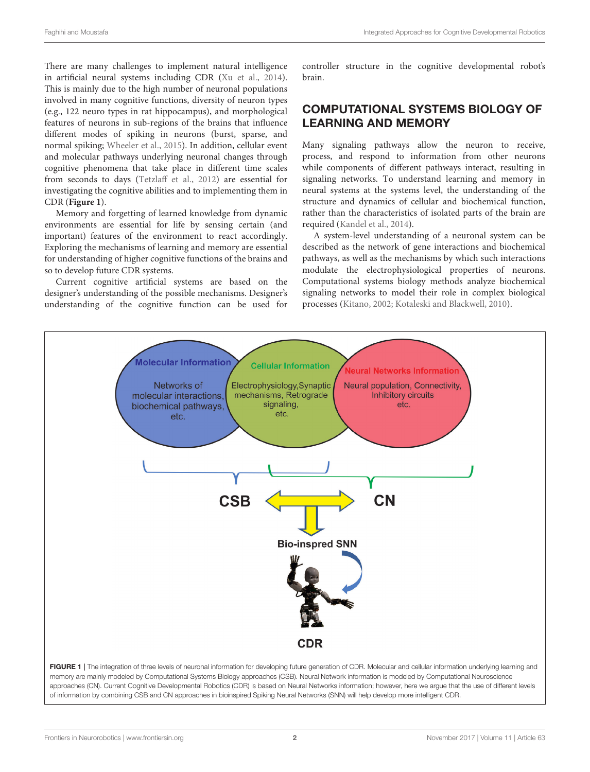There are many challenges to implement natural intelligence in artificial neural systems including CDR [\(Xu et al., 2014\)](#page-5-2). This is mainly due to the high number of neuronal populations involved in many cognitive functions, diversity of neuron types (e.g., 122 neuro types in rat hippocampus), and morphological features of neurons in sub-regions of the brains that influence different modes of spiking in neurons (burst, sparse, and normal spiking; [Wheeler et al., 2015\)](#page-5-3). In addition, cellular event and molecular pathways underlying neuronal changes through cognitive phenomena that take place in different time scales from seconds to days [\(Tetzlaff et al., 2012\)](#page-5-4) are essential for investigating the cognitive abilities and to implementing them in CDR (**[Figure 1](#page-2-0)**).

Memory and forgetting of learned knowledge from dynamic environments are essential for life by sensing certain (and important) features of the environment to react accordingly. Exploring the mechanisms of learning and memory are essential for understanding of higher cognitive functions of the brains and so to develop future CDR systems.

Current cognitive artificial systems are based on the designer's understanding of the possible mechanisms. Designer's understanding of the cognitive function can be used for controller structure in the cognitive developmental robot's brain.

## COMPUTATIONAL SYSTEMS BIOLOGY OF LEARNING AND MEMORY

Many signaling pathways allow the neuron to receive, process, and respond to information from other neurons while components of different pathways interact, resulting in signaling networks. To understand learning and memory in neural systems at the systems level, the understanding of the structure and dynamics of cellular and biochemical function, rather than the characteristics of isolated parts of the brain are required [\(Kandel et al., 2014\)](#page-4-9).

A system-level understanding of a neuronal system can be described as the network of gene interactions and biochemical pathways, as well as the mechanisms by which such interactions modulate the electrophysiological properties of neurons. Computational systems biology methods analyze biochemical signaling networks to model their role in complex biological processes [\(Kitano, 2002;](#page-4-10) [Kotaleski and Blackwell, 2010\)](#page-4-11).

<span id="page-2-0"></span>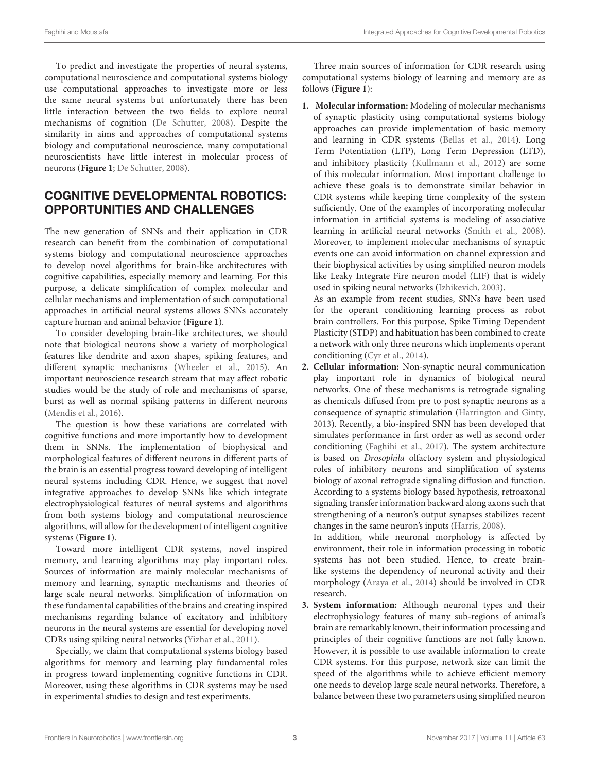To predict and investigate the properties of neural systems, computational neuroscience and computational systems biology use computational approaches to investigate more or less the same neural systems but unfortunately there has been little interaction between the two fields to explore neural mechanisms of cognition [\(De Schutter, 2008\)](#page-4-12). Despite the similarity in aims and approaches of computational systems biology and computational neuroscience, many computational neuroscientists have little interest in molecular process of neurons (**[Figure 1](#page-2-0)**; [De Schutter, 2008\)](#page-4-12).

# COGNITIVE DEVELOPMENTAL ROBOTICS: OPPORTUNITIES AND CHALLENGES

The new generation of SNNs and their application in CDR research can benefit from the combination of computational systems biology and computational neuroscience approaches to develop novel algorithms for brain-like architectures with cognitive capabilities, especially memory and learning. For this purpose, a delicate simplification of complex molecular and cellular mechanisms and implementation of such computational approaches in artificial neural systems allows SNNs accurately capture human and animal behavior (**[Figure 1](#page-2-0)**).

To consider developing brain-like architectures, we should note that biological neurons show a variety of morphological features like dendrite and axon shapes, spiking features, and different synaptic mechanisms [\(Wheeler et al., 2015\)](#page-5-3). An important neuroscience research stream that may affect robotic studies would be the study of role and mechanisms of sparse, burst as well as normal spiking patterns in different neurons [\(Mendis et al., 2016\)](#page-4-13).

The question is how these variations are correlated with cognitive functions and more importantly how to development them in SNNs. The implementation of biophysical and morphological features of different neurons in different parts of the brain is an essential progress toward developing of intelligent neural systems including CDR. Hence, we suggest that novel integrative approaches to develop SNNs like which integrate electrophysiological features of neural systems and algorithms from both systems biology and computational neuroscience algorithms, will allow for the development of intelligent cognitive systems (**[Figure 1](#page-2-0)**).

Toward more intelligent CDR systems, novel inspired memory, and learning algorithms may play important roles. Sources of information are mainly molecular mechanisms of memory and learning, synaptic mechanisms and theories of large scale neural networks. Simplification of information on these fundamental capabilities of the brains and creating inspired mechanisms regarding balance of excitatory and inhibitory neurons in the neural systems are essential for developing novel CDRs using spiking neural networks [\(Yizhar et al., 2011\)](#page-5-5).

Specially, we claim that computational systems biology based algorithms for memory and learning play fundamental roles in progress toward implementing cognitive functions in CDR. Moreover, using these algorithms in CDR systems may be used in experimental studies to design and test experiments.

Three main sources of information for CDR research using computational systems biology of learning and memory are as follows (**[Figure 1](#page-2-0)**):

**1. Molecular information:** Modeling of molecular mechanisms of synaptic plasticity using computational systems biology approaches can provide implementation of basic memory and learning in CDR systems [\(Bellas et al., 2014\)](#page-4-14). Long Term Potentiation (LTP), Long Term Depression (LTD), and inhibitory plasticity [\(Kullmann et al., 2012\)](#page-4-15) are some of this molecular information. Most important challenge to achieve these goals is to demonstrate similar behavior in CDR systems while keeping time complexity of the system sufficiently. One of the examples of incorporating molecular information in artificial systems is modeling of associative learning in artificial neural networks [\(Smith et al., 2008\)](#page-4-16). Moreover, to implement molecular mechanisms of synaptic events one can avoid information on channel expression and their biophysical activities by using simplified neuron models like Leaky Integrate Fire neuron model (LIF) that is widely used in spiking neural networks [\(Izhikevich, 2003\)](#page-4-17).

As an example from recent studies, SNNs have been used for the operant conditioning learning process as robot brain controllers. For this purpose, Spike Timing Dependent Plasticity (STDP) and habituation has been combined to create a network with only three neurons which implements operant conditioning [\(Cyr et al., 2014\)](#page-4-18).

**2. Cellular information:** Non-synaptic neural communication play important role in dynamics of biological neural networks. One of these mechanisms is retrograde signaling as chemicals diffused from pre to post synaptic neurons as a consequence of synaptic stimulation [\(Harrington and Ginty,](#page-4-19) [2013\)](#page-4-19). Recently, a bio-inspired SNN has been developed that simulates performance in first order as well as second order conditioning [\(Faghihi et al., 2017\)](#page-4-20). The system architecture is based on Drosophila olfactory system and physiological roles of inhibitory neurons and simplification of systems biology of axonal retrograde signaling diffusion and function. According to a systems biology based hypothesis, retroaxonal signaling transfer information backward along axons such that strengthening of a neuron's output synapses stabilizes recent changes in the same neuron's inputs [\(Harris, 2008\)](#page-4-21).

In addition, while neuronal morphology is affected by environment, their role in information processing in robotic systems has not been studied. Hence, to create brainlike systems the dependency of neuronal activity and their morphology [\(Araya et al., 2014\)](#page-4-22) should be involved in CDR research.

**3. System information:** Although neuronal types and their electrophysiology features of many sub-regions of animal's brain are remarkably known, their information processing and principles of their cognitive functions are not fully known. However, it is possible to use available information to create CDR systems. For this purpose, network size can limit the speed of the algorithms while to achieve efficient memory one needs to develop large scale neural networks. Therefore, a balance between these two parameters using simplified neuron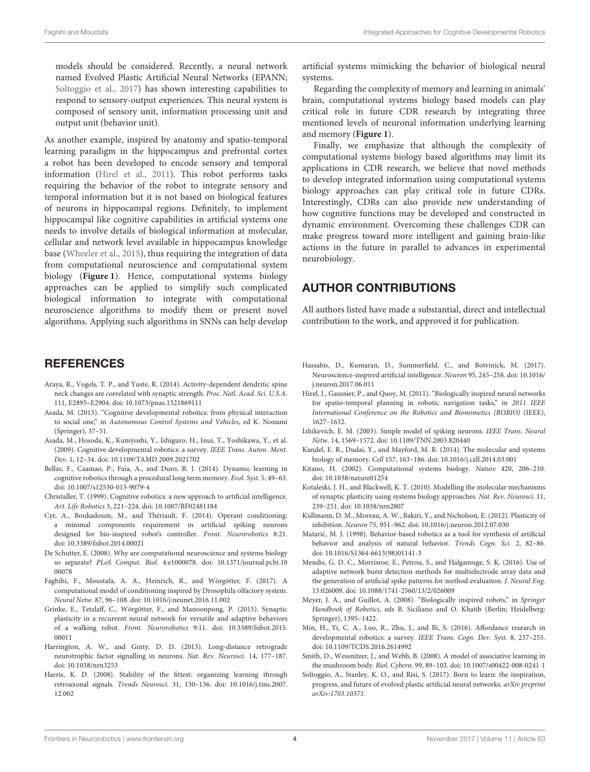models should be considered. Recently, a neural network named Evolved Plastic Artificial Neural Networks (EPANN; [Soltoggio et al., 2017\)](#page-4-23) has shown interesting capabilities to respond to sensory-output experiences. This neural system is composed of sensory unit, information processing unit and output unit (behavior unit).

As another example, inspired by anatomy and spatio-temporal learning paradigm in the hippocampus and prefrontal cortex a robot has been developed to encode sensory and temporal information [\(Hirel et al., 2011\)](#page-4-0). This robot performs tasks requiring the behavior of the robot to integrate sensory and temporal information but it is not based on biological features of neurons in hippocampal regions. Definitely, to implement hippocampal like cognitive capabilities in artificial systems one needs to involve details of biological information at molecular, cellular and network level available in hippocampus knowledge base [\(Wheeler et al., 2015\)](#page-5-3), thus requiring the integration of data from computational neuroscience and computational system biology (**[Figure 1](#page-2-0)**). Hence, computational systems biology approaches can be applied to simplify such complicated biological information to integrate with computational neuroscience algorithms to modify them or present novel algorithms. Applying such algorithms in SNNs can help develop

## **REFERENCES**

- <span id="page-4-22"></span>Araya, R., Vogels, T. P., and Yuste, R. (2014). Activity-dependent dendritic spine neck changes are correlated with synaptic strength. Proc. Natl. Acad. Sci. U.S.A. 111, E2895–E2904. doi: [10.1073/pnas.1321869111](https://doi.org/10.1073/pnas.1321869111)
- <span id="page-4-7"></span>Asada, M. (2013). "Cognitive developmental robotics: from physical interaction to social one," in Autonomous Control Systems and Vehicles, ed K. Nonami (Springer), 37–51.
- <span id="page-4-6"></span>Asada, M., Hosoda, K., Kuniyoshi, Y., Ishiguro, H., Inui, T., Yoshikawa, Y., et al. (2009). Cognitive developmental robotics: a survey. IEEE Trans. Auton. Ment. Dev. 1, 12–34. doi: [10.1109/TAMD.2009.2021702](https://doi.org/10.1109/TAMD.2009.2021702)
- <span id="page-4-14"></span>Bellas, F., Caamao, P., Faia, A., and Duro, R. J. (2014). Dynamic learning in cognitive robotics through a procedural long term memory. Evol. Syst. 5, 49–63. doi: [10.1007/s12530-013-9079-4](https://doi.org/10.1007/s12530-013-9079-4)
- <span id="page-4-3"></span>Christaller, T. (1999). Cognitive robotics: a new approach to artificial intelligence. Art. Life Robotics 3, 221–224. doi: [10.1007/BF02481184](https://doi.org/10.1007/BF02481184)
- <span id="page-4-18"></span>Cyr, A., Boukadoum, M., and Thériault, F. (2014). Operant conditioning: a minimal components requirement in artificial spiking neurons designed for bio-inspired robot's controller. Front. Neurorobotics 8:21. doi: [10.3389/fnbot.2014.00021](https://doi.org/10.3389/fnbot.2014.00021)
- <span id="page-4-12"></span>De Schutter, E. (2008). Why are computational neuroscience and systems biology so separate? PLoS Comput. Biol. [4:e1000078. doi: 10.1371/journal.pcbi.10](https://doi.org/10.1371/journal.pcbi.1000078) 00078
- <span id="page-4-20"></span>Faghihi, F., Moustafa, A. A., Heinrich, R., and Wörgötter, F. (2017). A computational model of conditioning inspired by Drosophila olfactory system. Neural Netw. 87, 96–108. doi: [10.1016/j.neunet.2016.11.002](https://doi.org/10.1016/j.neunet.2016.11.002)
- <span id="page-4-5"></span>Grinke, E., Tetzlaff, C., Wörgötter, F., and Manoonpong, P. (2015). Synaptic plasticity in a recurrent neural network for versatile and adaptive behaviors of a walking robot. Front. Neurorobotics [9:11. doi: 10.3389/fnbot.2015.](https://doi.org/10.3389/fnbot.2015.00011) 00011
- <span id="page-4-19"></span>Harrington, A. W., and Ginty, D. D. (2013). Long-distance retrograde neurotrophic factor signalling in neurons. Nat. Rev. Neurosci. 14, 177–187. doi: [10.1038/nrn3253](https://doi.org/10.1038/nrn3253)
- <span id="page-4-21"></span>Harris, K. D. (2008). Stability of the fittest: organizing learning through retroaxonal signals. Trends Neurosci. [31, 130–136. doi: 10.1016/j.tins.2007.](https://doi.org/10.1016/j.tins.2007.12.002) 12.002

artificial systems mimicking the behavior of biological neural systems.

Regarding the complexity of memory and learning in animals' brain, computational systems biology based models can play critical role in future CDR research by integrating three mentioned levels of neuronal information underlying learning and memory (**[Figure 1](#page-2-0)**).

Finally, we emphasize that although the complexity of computational systems biology based algorithms may limit its applications in CDR research, we believe that novel methods to develop integrated information using computational systems biology approaches can play critical role in future CDRs. Interestingly, CDRs can also provide new understanding of how cognitive functions may be developed and constructed in dynamic environment. Overcoming these challenges CDR can make progress toward more intelligent and gaining brain-like actions in the future in parallel to advances in experimental neurobiology.

## AUTHOR CONTRIBUTIONS

All authors listed have made a substantial, direct and intellectual contribution to the work, and approved it for publication.

- <span id="page-4-1"></span>Hassabis, D., Kumaran, D., Summerfield, C., and Botvinick, M. (2017). [Neuroscience-inspired artificial intelligence.](https://doi.org/10.1016/j.neuron.2017.06.011) Neuron 95, 245–258. doi: 10.1016/ j.neuron.2017.06.011
- <span id="page-4-0"></span>Hirel, J., Gaussier, P., and Quoy, M. (2011). "Biologically inspired neural networks for spatio-temporal planning in robotic navigation tasks," in 2011 IEEE International Conference on the Robotics and Biomimetics (ROBIO) (IEEE), 1627–1632.
- <span id="page-4-17"></span>Izhikevich, E. M. (2003). Simple model of spiking neurons. IEEE Trans. Neural Netw. 14, 1569–1572. doi: [10.1109/TNN.2003.820440](https://doi.org/10.1109/TNN.2003.820440)
- <span id="page-4-9"></span>Kandel, E. R., Dudai, Y., and Mayford, M. R. (2014). The molecular and systems biology of memory. Cell 157, 163–186. doi: [10.1016/j.cell.2014.03.001](https://doi.org/10.1016/j.cell.2014.03.001)
- <span id="page-4-10"></span>Kitano, H. (2002). Computational systems biology. Nature 420, 206–210. doi: [10.1038/nature01254](https://doi.org/10.1038/nature01254)
- <span id="page-4-11"></span>Kotaleski, J. H., and Blackwell, K. T. (2010). Modelling the molecular mechanisms of synaptic plasticity using systems biology approaches. Nat. Rev. Neurosci. 11, 239–251. doi: [10.1038/nrn2807](https://doi.org/10.1038/nrn2807)
- <span id="page-4-15"></span>Kullmann, D. M., Moreau, A. W., Bakiri, Y., and Nicholson, E. (2012). Plasticity of inhibition. Neuron 75, 951–962. doi: [10.1016/j.neuron.2012.07.030](https://doi.org/10.1016/j.neuron.2012.07.030)
- <span id="page-4-2"></span>Matarić, M. J. (1998). Behavior-based robotics as a tool for synthesis of artificial behavior and analysis of natural behavior. Trends Cogn. Sci. 2, 82–86. doi: [10.1016/S1364-6613\(98\)01141-3](https://doi.org/10.1016/S1364-6613(98)01141-3)
- <span id="page-4-13"></span>Mendis, G. D. C., Morrisroe, E., Petrou, S., and Halgamuge, S. K. (2016). Use of adaptive network burst detection methods for multielectrode array data and the generation of artificial spike patterns for method evaluation. J. Neural Eng. 13:026009. doi: [10.1088/1741-2560/13/2/026009](https://doi.org/10.1088/1741-2560/13/2/026009)
- <span id="page-4-4"></span>Meyer, J. A., and Guillot, A. (2008). "Biologically inspired robots," in Springer Handbook of Robotics, eds B. Siciliano and O. Khatib (Berlin; Heidelberg: Springer), 1395–1422.
- <span id="page-4-8"></span>Min, H., Yi, C. A., Luo, R., Zhu, J., and Bi, S. (2016). Affordance research in developmental robotics: a survey. IEEE Trans. Cogn. Dev. Syst. 8, 237–255. doi: [10.1109/TCDS.2016.2614992](https://doi.org/10.1109/TCDS.2016.2614992)
- <span id="page-4-16"></span>Smith, D., Wessnitzer, J., and Webb, B. (2008). A model of associative learning in the mushroom body. Biol. Cybern. 99, 89–103. doi: [10.1007/s00422-008-0241-1](https://doi.org/10.1007/s00422-008-0241-1)
- <span id="page-4-23"></span>Soltoggio, A., Stanley, K. O., and Risi, S. (2017). Born to learn: the inspiration, progress, and future of evolved plastic artificial neural networks. arXiv preprint arXiv:1703.10371.